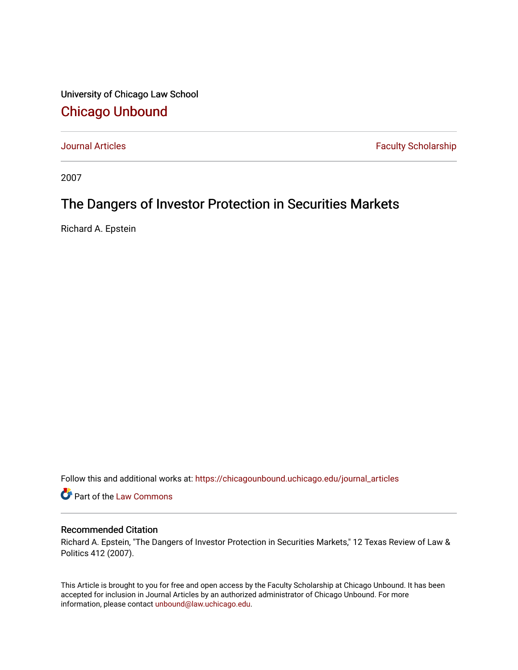University of Chicago Law School [Chicago Unbound](https://chicagounbound.uchicago.edu/)

[Journal Articles](https://chicagounbound.uchicago.edu/journal_articles) **Faculty Scholarship Faculty Scholarship** 

2007

# The Dangers of Investor Protection in Securities Markets

Richard A. Epstein

Follow this and additional works at: [https://chicagounbound.uchicago.edu/journal\\_articles](https://chicagounbound.uchicago.edu/journal_articles?utm_source=chicagounbound.uchicago.edu%2Fjournal_articles%2F1374&utm_medium=PDF&utm_campaign=PDFCoverPages) 

Part of the [Law Commons](http://network.bepress.com/hgg/discipline/578?utm_source=chicagounbound.uchicago.edu%2Fjournal_articles%2F1374&utm_medium=PDF&utm_campaign=PDFCoverPages)

# Recommended Citation

Richard A. Epstein, "The Dangers of Investor Protection in Securities Markets," 12 Texas Review of Law & Politics 412 (2007).

This Article is brought to you for free and open access by the Faculty Scholarship at Chicago Unbound. It has been accepted for inclusion in Journal Articles by an authorized administrator of Chicago Unbound. For more information, please contact [unbound@law.uchicago.edu](mailto:unbound@law.uchicago.edu).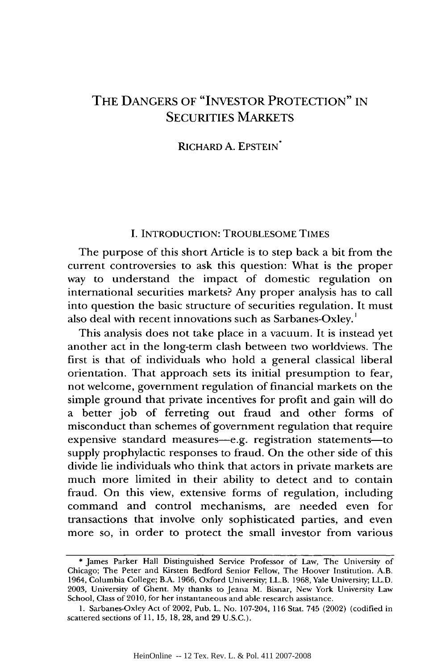# THE DANGERS OF "INVESTOR PROTECTION" IN SECURITIES MARKETS

RICHARD A. EPSTEIN\*

### I. INTRODUCTION: TROUBLESOME TIMES

The purpose of this short Article is to step back a bit from the current controversies to ask this question: What is the proper way to understand the impact of domestic regulation on international securities markets? Any proper analysis has to call into question the basic structure of securities regulation. It must also deal with recent innovations such as Sarbanes-Oxley.

This analysis does not take place in a vacuum. It is instead yet another act in the long-term clash between two worldviews. The first is that of individuals who hold a general classical liberal orientation. That approach sets its initial presumption to fear, not welcome, government regulation of financial markets on the simple ground that private incentives for profit and gain will do a better job of ferreting out fraud and other forms of misconduct than schemes of government regulation that require expensive standard measures-e.g. registration statements-to supply prophylactic responses to fraud. On the other side of this divide lie individuals who think that actors in private markets are much more limited in their ability to detect and to contain fraud. On this view, extensive forms of regulation, including command and control mechanisms, are needed even for transactions that involve only sophisticated parties, and even more so, in order to protect the small investor from various

<sup>\*</sup> James Parker Hall Distinguished Service Professor of Law, The University of Chicago; The Peter and Kirsten Bedford Senior Fellow, The Hoover Institution. A.B. 1964, Columbia College; B.A. 1966, Oxford University; LL.B. 1968, Yale University; LL.D. 2003, University of Ghent. My thanks to Jeana M. Bisnar, New York University Law School, Class of 2010, for her instantaneous and able research assistance.

<sup>1.</sup> Sarbanes-Oxley Act of 2002, Pub. L. No. 107-204, 116 Stat. 745 (2002) (codified in scattered sections of 11, 15, 18, 28, and 29 U.S.C.).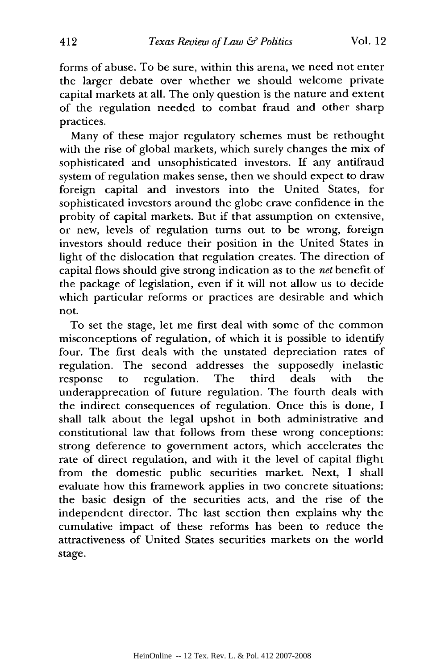forms of abuse. To be sure, within this arena, we need not enter the larger debate over whether we should welcome private capital markets at all. The only question is the nature and extent of the regulation needed to combat fraud and other sharp practices.

Many of these major regulatory schemes must be rethought with the rise of global markets, which surely changes the mix of sophisticated and unsophisticated investors. If any antifraud system of regulation makes sense, then we should expect to draw foreign capital and investors into the United States, for sophisticated investors around the globe crave confidence in the probity of capital markets. But if that assumption on extensive, or new, levels of regulation turns out to be wrong, foreign investors should reduce their position in the United States in light of the dislocation that regulation creates. The direction of capital flows should give strong indication as to the *net* benefit of the package of legislation, even if it will not allow us to decide which particular reforms or practices are desirable and which not.

To set the stage, let me first deal with some of the common misconceptions of regulation, of which it is possible to identify four. The first deals with the unstated depreciation rates of regulation. The second addresses the supposedly inelastic response to regulation. The third deals with the underapprecation of future regulation. The fourth deals with the indirect consequences of regulation. Once this is done, I shall talk about the legal upshot in both administrative and constitutional law that follows from these wrong conceptions: strong deference to government actors, which accelerates the rate of direct regulation, and with it the level of capital flight from the domestic public securities market. Next, I shall evaluate how this framework applies in two concrete situations: the basic design of the securities acts, and the rise of the independent director. The last section then explains why the cumulative impact of these reforms has been to reduce the attractiveness of United States securities markets on the world stage.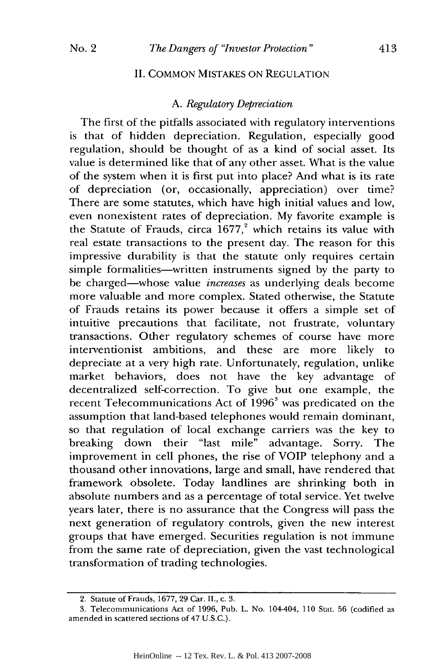#### II. COMMON MISTAKES ON REGULATION

#### A. *Regulatory Depreciation*

The first of the pitfalls associated with regulatory interventions is that of hidden depreciation. Regulation, especially good regulation, should be thought of as a kind of social asset. Its value is determined like that of any other asset. What is the value of the system when it is first put into place? And what is its rate of depreciation (or, occasionally, appreciation) over time? There are some statutes, which have high initial values and low, even nonexistent rates of depreciation. My favorite example is the Statute of Frauds, circa  $1677$ ,<sup>2</sup> which retains its value with real estate transactions to the present day. The reason for this impressive durability is that the statute only requires certain simple formalities-written instruments signed by the party to be charged-whose value *increases* as underlying deals become more valuable and more complex. Stated otherwise, the Statute of Frauds retains its power because it offers a simple set of intuitive precautions that facilitate, not frustrate, voluntary transactions. Other regulatory schemes of course have more interventionist ambitions, and these are more likely to depreciate at a very high rate. Unfortunately, regulation, unlike market behaviors, does not have the key advantage of decentralized self-correction. To give but one example, the recent Telecommunications Act of 1996<sup>3</sup> was predicated on the assumption that land-based telephones would remain dominant, so that regulation of local exchange carriers was the key to breaking down their "last mile" advantage. Sorry. The improvement in cell phones, the rise of VOIP telephony and a thousand other innovations, large and small, have rendered that framework obsolete. Today landlines are shrinking both in absolute numbers and as a percentage of total service. Yet twelve years later, there is no assurance that the Congress will pass the next generation of regulatory controls, given the new interest groups that have emerged. Securities regulation is not immune from the same rate of depreciation, given the vast technological transformation of trading technologies.

<sup>2.</sup> Statute of Frauds, 1677, 29 Car. II., c. 3.

<sup>3.</sup> Telecommunications Act of 1996, Pub. L. No. 104-404, 110 Stat. 56 (codified as amended in scattered sections of 47 U.S.C.).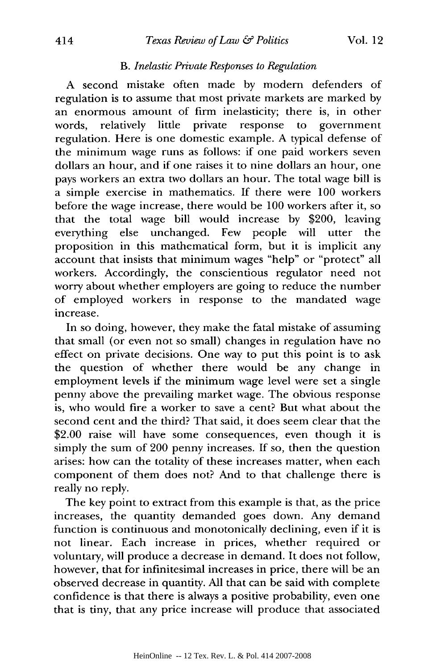#### *B. Inelastic Private Responses to Regulation*

A second mistake often made by modern defenders of regulation is to assume that most private markets are marked by an enormous amount of firm inelasticity; there is, in other words, relatively little private response to government regulation. Here is one domestic example. A typical defense of the minimum wage runs as follows: if one paid workers seven dollars an hour, and if one raises it to nine dollars an hour, one pays workers an extra two dollars an hour. The total wage bill is a simple exercise in mathematics. If there were 100 workers before the wage increase, there would be 100 workers after it, so that the total wage bill would increase by \$200, leaving everything else unchanged. Few people will utter the proposition in this mathematical form, but it is implicit any account that insists that minimum wages "help" or "protect" all workers. Accordingly, the conscientious regulator need not worry about whether employers are going to reduce the number of employed workers in response to the mandated wage increase.

In so doing, however, they make the fatal mistake of assuming that small (or even not so small) changes in regulation have no effect on private decisions. One way to put this point is to ask the question of whether there would be any change in employment levels if the minimum wage level were set a single penny above the prevailing market wage. The obvious response is, who would fire a worker to save a cent? But what about the second cent and the third? That said, it does seem clear that the \$2.00 raise will have some consequences, even though it is simply the sum of 200 penny increases. If so, then the question arises: how can the totality of these increases matter, when each component of them does not? And to that challenge there is really no reply.

The key point to extract from this example is that, as the price increases, the quantity demanded goes down. Any demand function is continuous and monotonically declining, even if it is not linear. Each increase in prices, whether required or voluntary, will produce a decrease in demand. It does not follow, however, that for infinitesimal increases in price, there will be an observed decrease in quantity. All that can be said with complete confidence is that there is always a positive probability, even one that is tiny, that any price increase will produce that associated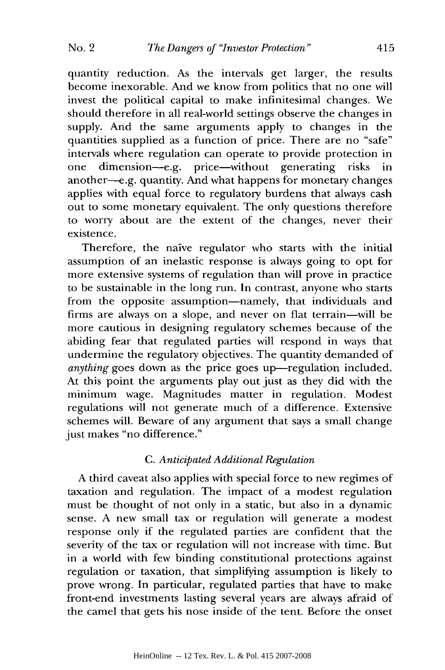415

quantity reduction. As the intervals get larger, the results become inexorable. And we know from politics that no one will invest the political capital to make infinitesimal changes. We should therefore in all real-world settings observe the changes in supply. And the same arguments apply to changes in the quantities supplied as a function of price. There are no "safe" intervals where regulation can operate to provide protection in one dimension-e.g. price-without generating risks in another-e.g. quantity. And what happens for monetary changes applies with equal force to regulatory burdens that always cash out to some monetary equivalent. The only questions therefore to worry about are the extent of the changes, never their existence.

Therefore, the naive regulator who starts with the initial assumption of an inelastic response is always going to opt for more extensive systems of regulation than will prove in practice to be sustainable in the long run. In contrast, anyone who starts from the opposite assumption-namely, that individuals and firms are always on a slope, and never on flat terrain-will be more cautious in designing regulatory schemes because of the abiding fear that regulated parties will respond in ways that undermine the regulatory objectives. The quantity demanded of *anything* goes down as the price goes up—regulation included. At this point the arguments play out just as they did with the minimum wage. Magnitudes matter in regulation. Modest regulations will not generate much of a difference. Extensive schemes will. Beware of any argument that says a small change just makes "no difference."

## *C. Anticipated Additional Regulation*

A third caveat also applies with special force to new regimes of taxation and regulation. The impact of a modest regulation must be thought of not only in a static, but also in a dynamic sense. A new small tax or regulation will generate a modest response only if the regulated parties are confident that the severity of the tax or regulation will not increase with time. But in a world with few binding constitutional protections against regulation or taxation, that simplifying assumption is likely to prove wrong. In particular, regulated parties that have to make front-end investments lasting several years are always afraid of the camel that gets his nose inside of the tent. Before the onset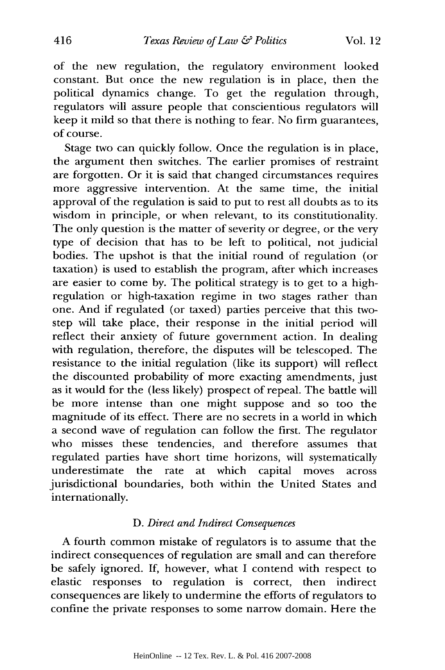of the new regulation, the regulatory environment looked constant. But once the new regulation is in place, then the political dynamics change. To get the regulation through, regulators will assure people that conscientious regulators will keep it mild so that there is nothing to fear. No firm guarantees, of course.

Stage two can quickly follow. Once the regulation is in place, the argument then switches. The earlier promises of restraint are forgotten. Or it is said that changed circumstances requires more aggressive intervention. At the same time, the initial approval of the regulation is said to put to rest all doubts as to its wisdom in principle, or when relevant, to its constitutionality. The only question is the matter of severity or degree, or the very type of decision that has to be left to political, not judicial bodies. The upshot is that the initial round of regulation (or taxation) is used to establish the program, after which increases are easier to come **by.** The political strategy is to get to a highregulation or high-taxation regime in two stages rather than one. And if regulated (or taxed) parties perceive that this twostep will take place, their response in the initial period will reflect their anxiety of future government action. In dealing with regulation, therefore, the disputes will be telescoped. The resistance to the initial regulation (like its support) will reflect the discounted probability of more exacting amendments, just as it would for the (less likely) prospect of repeal. The battle will be more intense than one might suppose and so too the magnitude of its effect. There are no secrets in a world in which a second wave of regulation can follow the first. The regulator who misses these tendencies, and therefore assumes that regulated parties have short time horizons, will systematically underestimate the rate at which capital moves across jurisdictional boundaries, both within the United States and internationally.

#### *D. Direct and Indirect Consequences*

A fourth common mistake of regulators is to assume that the indirect consequences of regulation are small and can therefore be safely ignored. **If,** however, what **I** contend with respect to elastic responses to regulation is correct, then indirect consequences are likely to undermine the efforts of regulators to confine the private responses to some narrow domain. Here the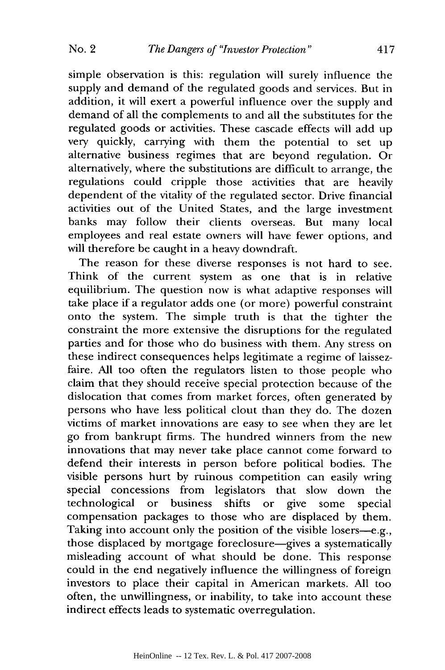simple observation is this: regulation will surely influence the supply and demand of the regulated goods and services. But in addition, it will exert a powerful influence over the supply and demand of all the complements to and all the substitutes for the regulated goods or activities. These cascade effects will add up very quickly, carrying with them the potential to set up alternative business regimes that are beyond regulation. Or alternatively, where the substitutions are difficult to arrange, the regulations could cripple those activities that are heavily dependent of the vitality of the regulated sector. Drive financial activities out of the United States, and the large investment banks may follow their clients overseas. But many local employees and real estate owners will have fewer options, and will therefore be caught in a heavy downdraft.

The reason for these diverse responses is not hard to see. Think of the current system as one that is in relative equilibrium. The question now is what adaptive responses will take place if a regulator adds one (or more) powerful constraint onto the system. The simple truth is that the tighter the constraint the more extensive the disruptions for the regulated parties and for those who do business with them. Any stress on these indirect consequences helps legitimate a regime of laissezfaire. All too often the regulators listen to those people who claim that they should receive special protection because of the dislocation that comes from market forces, often generated by persons who have less political clout than they do. The dozen victims of market innovations are easy to see when they are let go from bankrupt firms. The hundred winners from the new innovations that may never take place cannot come forward to defend their interests in person before political bodies. The visible persons hurt by ruinous competition can easily wring special concessions from legislators that slow down the technological or business shifts or give some special compensation packages to those who are displaced by them. Taking into account only the position of the visible losers-e.g., those displaced by mortgage foreclosure-gives a systematically misleading account of what should be done. This response could in the end negatively influence the willingness of foreign investors to place their capital in American markets. All too often, the unwillingness, or inability, to take into account these indirect effects leads to systematic overregulation.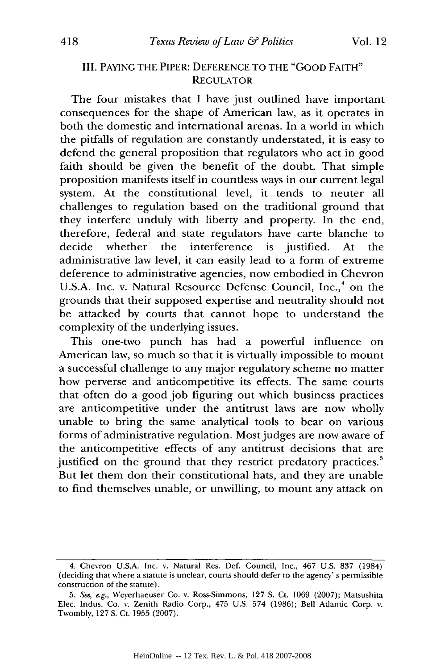# III. PAYING THE PIPER: DEFERENCE TO THE "GOOD FAITH" **REGULATOR**

The four mistakes that I have just outlined have important consequences for the shape of American law, as it operates in both the domestic and international arenas. In a world in which the pitfalls of regulation are constantly understated, it is easy to defend the general proposition that regulators who act in good faith should be given the benefit of the doubt. That simple proposition manifests itself in countless ways in our current legal system. At the constitutional level, it tends to neuter all challenges to regulation based on the traditional ground that they interfere unduly with liberty and property. In the end, therefore, federal and state regulators have carte blanche to decide whether the interference is justified. At the administrative law level, it can easily lead to a form of extreme deference to administrative agencies, now embodied in Chevron U.S.A. Inc. v. Natural Resource Defense Council, Inc.,<sup>4</sup> on the grounds that their supposed expertise and neutrality should not be attacked by courts that cannot hope to understand the complexity of the underlying issues.

This one-two punch has had a powerful influence on American law, so much so that it is virtually impossible to mount a successful challenge to any major regulatory scheme no matter how perverse and anticompetitive its effects. The same courts that often do a good job figuring out which business practices are anticompetitive under the antitrust laws are now wholly unable to bring the same analytical tools to bear on various forms of administrative regulation. Most judges are now aware of the anticompetitive effects of any antitrust decisions that are justified on the ground that they restrict predatory practices.<sup>5</sup> But let them don their constitutional hats, and they are unable to find themselves unable, or unwilling, to mount any attack on

<sup>4.</sup> Cheron U.S.A. Inc. v. Natural Res. Def. Council, Inc., 467 U.S. 837 (1984) (deciding that where a statute is unclear, courts should defer to the agency' s permissible construction of the statute).

<sup>5.</sup> See, e.g., Weyerhaeuser Co. v. Ross-Simmons, 127 S. Ct. 1069 (2007); Matsushita Elec. Indus. Co. v. Zenith Radio Corp., 475 U.S. 574 (1986); Bell Atlantic Corp. v. Twombly, 127 **S.** Ct. 1955 (2007).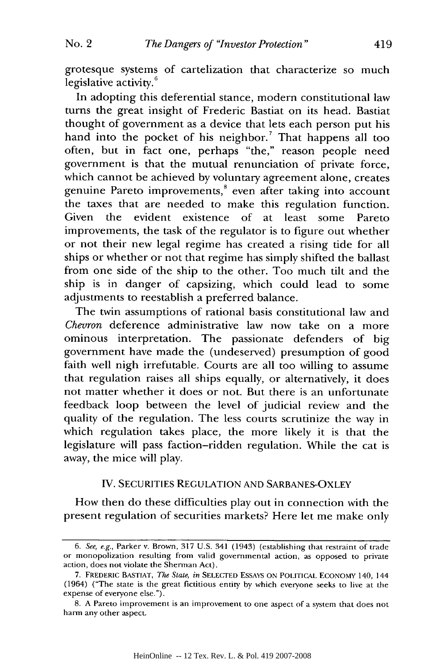grotesque systems of cartelization that characterize so much legislative activity. $6$ 

In adopting this deferential stance, modern constitutional law turns the great insight of Frederic Bastiat on its head. Bastiat thought of government as a device that lets each person put his hand into the pocket of his neighbor.<sup>7</sup> That happens all too often, but in fact one, perhaps "the," reason people need government is that the mutual renunciation of private force, which cannot be achieved by voluntary agreement alone, creates genuine Pareto improvements,<sup>8</sup> even after taking into account the taxes that are needed to make this regulation function. Given the evident existence of at least some Pareto improvements, the task of the regulator is to figure out whether or not their new legal regime has created a rising tide for all ships or whether or not that regime has simply shifted the ballast from one side of the ship to the other. Too much tilt and the ship is in danger of capsizing, which could lead to some adjustments to reestablish a preferred balance.

The twin assumptions of rational basis constitutional law and *Chevron* deference administrative law now take on a more ominous interpretation. The passionate defenders of big government have made the (undeserved) presumption of good faith well nigh irrefutable. Courts are all too willing to assume that regulation raises all ships equally, or alternatively, it does not matter whether it does or not. But there is an unfortunate feedback loop between the level of judicial review and the quality of the regulation. The less courts scrutinize the way in which regulation takes place, the more likely it is that the legislature will pass faction-ridden regulation. While the cat is away, the mice will play.

### IV. SECURITIES REGULATION AND SARBANES-OXLEY

How then do these difficulties play out in connection with the present regulation of securities markets? Here let me make only

*<sup>6.</sup> See, e.g.,* Parker v. Brown, 317 U.S. 341 (1943) (establishing that restraint of trade or monopolization resulting from valid governmental action, as opposed to private action, does not violate the Sherman Act).

<sup>7.</sup> FREDERIC BASTIAT, *The State, in* SELECTED ESSAYs **ON** POLITICAL **ECONOMY** 140, 144 (1964) ("The state is the great fictitious entity by which everyone seeks to live at the expense of everyone else.").

<sup>8.</sup> A Pareto improvement is an improvement to one aspect of a system that does not harm any other aspect.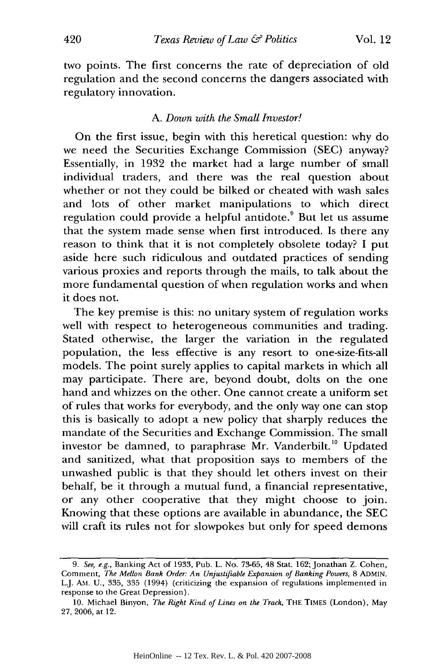two points. The first concerns the rate of depreciation of old regulation and the second concerns the dangers associated with regulatory innovation.

#### *A. Down with the Small Investor!*

On the first issue, begin with this heretical question: why do we need the Securities Exchange Commission (SEC) anyway? Essentially, in 1932 the market had a large number of small individual traders, and there was the real question about whether or not they could be bilked or cheated with wash sales and lots of other market manipulations to which direct regulation could provide a helpful antidote.<sup>9</sup> But let us assume that the system made sense when first introduced. Is there any reason to think that it is not completely obsolete today? I put aside here such ridiculous and outdated practices of sending various proxies and reports through the mails, to talk about the more fundamental question of when regulation works and when it does not.

The key premise is this: no unitary system of regulation works well with respect to heterogeneous communities and trading. Stated otherwise, the larger the variation in the regulated population, the less effective is any resort to one-size-fits-all models. The point surely applies to capital markets in which all may participate. There are, beyond doubt, dolts on the one hand and whizzes on the other. One cannot create a uniform set of rules that works for everybody, and the only way one can stop this is basically to adopt a new policy that sharply reduces the mandate of the Securities and Exchange Commission. The small investor be damned, to paraphrase Mr. Vanderbilt.<sup>10</sup> Updated and sanitized, what that proposition says to members of the unwashed public is that they should let others invest on their behalf, be it through a mutual fund, a financial representative, or any other cooperative that they might choose to join. Knowing that these options are available in abundance, the SEC will craft its rules not for slowpokes but only for speed demons

*<sup>9.</sup> See, e.g.,* Banking Act of 1933, Pub. L. No. 73-65, 48 Stat. 162; Jonathan Z. Cohen, Comment, *The M~ellon Bank Order: An Unjustifiable Expansion of Banking Powers,* 8 **ADMIN.** L.J. AM. U., 335, 335 (1994) (criticizing the expansion of regulations implemented in response to the Great Depression).

<sup>10.</sup> Michael Binyon, *The Right Kind of Lines on the Track,* THE TIMES (London), May 27, 2006, at 12.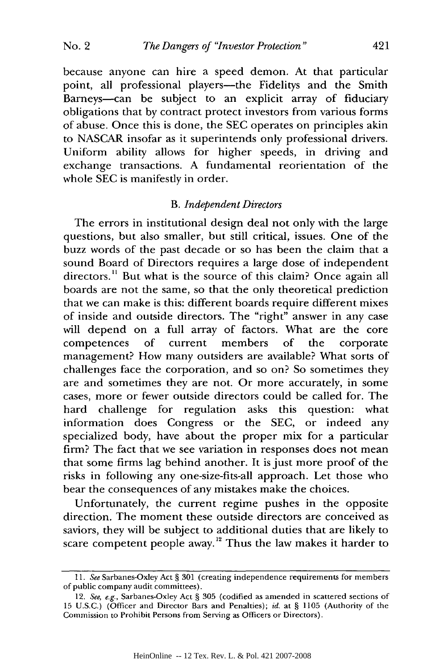#### *The Dangers of "Investor Protection"* **No. 2**

because anyone can hire a speed demon. At that particular point, all professional players-the Fidelitys and the Smith Barneys-can be subject to an explicit array of fiduciary obligations that by contract protect investors from various forms of abuse. Once this is done, the SEC operates on principles akin to NASCAR insofar as it superintends only professional drivers. Uniform ability allows for higher speeds, in driving and exchange transactions. A fundamental reorientation of the whole SEC is manifestly in order.

421

#### B. *Independent Directors*

The errors in institutional design deal not only with the large questions, but also smaller, but still critical, issues. One of the buzz words of the past decade or so has been the claim that a sound Board of Directors requires a large dose of independent directors." But what is the source of this claim? Once again all boards are not the same, so that the only theoretical prediction that we can make is this: different boards require different mixes of inside and outside directors. The "right" answer in any case will depend on a full array of factors. What are the core competences of current members of the corporate management? How many outsiders are available? What sorts of challenges face the corporation, and so on? So sometimes they are and sometimes they are not. Or more accurately, in some cases, more or fewer outside directors could be called for. The hard challenge for regulation asks this question: what information does Congress or the SEC, or indeed any specialized body, have about the proper mix for a particular firm? The fact that we see variation in responses does not mean that some firms lag behind another. It is just more proof of the risks in following any one-size-fits-all approach. Let those who bear the consequences of any mistakes make the choices.

Unfortunately, the current regime pushes in the opposite direction. The moment these outside directors are conceived as saviors, they will be subject to additional duties that are likely to scare competent people away.<sup>12</sup> Thus the law makes it harder to

*<sup>11.</sup> See* Sarbanes-Oxley Act § 301 (creating independence requirements for members of public company audit committees).

<sup>12.</sup> *See, e.g.,* Sarbanes-Oxley Act § 305 (codified as amended in scattered sections of 15 U.S.C.) (Officer and Director Bars and Penalties); *id.* at § 1105 (Authority of the Commission to Prohibit Persons from Serving as Officers or Directors).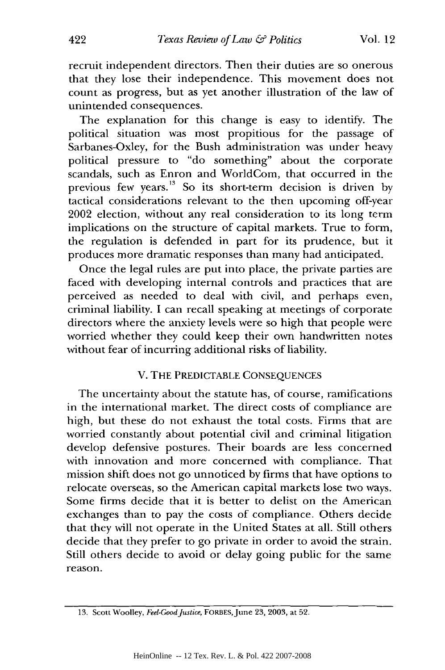recruit independent directors. Then their duties are so onerous that they lose their independence. This movement does not count as progress, but as yet another illustration of the law of unintended consequences.

The explanation for this change is easy to identify. The political situation was most propitious for the passage of Sarbanes-Oxley, for the Bush administration was under heavy political pressure to "do something" about the corporate scandals, such as Enron and WorldCom, that occurred in the previous few years.<sup>13</sup> So its short-term decision is driven by tactical considerations relevant to the then upcoming off-year 2002 election, without any real consideration to its long term implications on the structure of capital markets. True to form, the regulation is defended in part for its prudence, but it produces more dramatic responses than many had anticipated.

Once the legal rules are put into place, the private parties are faced with developing internal controls and practices that are perceived as needed to deal with civil, and perhaps even, criminal liability. I can recall speaking at meetings of corporate directors where the anxiety levels were so high that people were worried whether they could keep their own handwritten notes without fear of incurring additional risks of liability.

### V. THE PREDICTABLE CONSEQUENCES

The uncertainty about the statute has, of course, ramifications in the international market. The direct costs of compliance are high, but these do not exhaust the total costs. Firms that are worried constantly about potential civil and criminal litigation develop defensive postures. Their boards are less concerned with innovation and more concerned with compliance. That mission shift does not go unnoticed by firms that have options to relocate overseas, so the American capital markets lose two ways. Some firms decide that it is better to delist on the American exchanges than to pay the costs of compliance. Others decide that they will not operate in the United States at all. Still others decide that they prefer to go private in order to avoid the strain. Still others decide to avoid or delay going public for the same reason.

**<sup>13.</sup>** Scott Woolley, *Feel-Good Justice,* FORBES,June 23, 2003, at 52.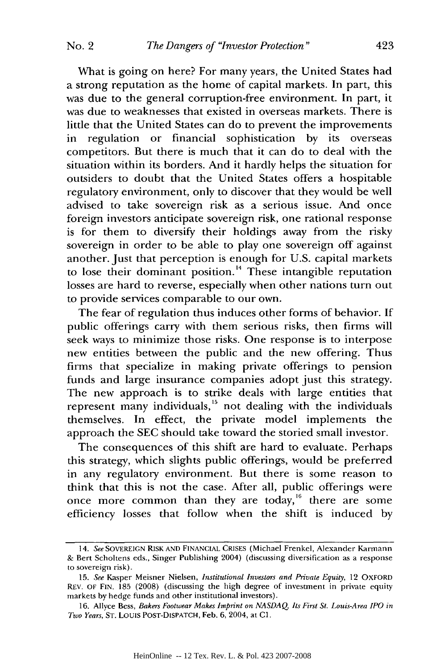What is going on here? For many years, the United States had a strong reputation as the home of capital markets. In part, this was due to the general corruption-free environment. In part, it was due to weaknesses that existed in overseas markets. There is little that the United States can do to prevent the improvements in regulation or financial sophistication by its overseas competitors. But there is much that it can do to deal with the situation within its borders. And it hardly helps the situation for outsiders to doubt that the United States offers a hospitable regulatory environment, only to discover that they would be well advised to take sovereign risk as a serious issue. And once foreign investors anticipate sovereign risk, one rational response is for them to diversify their holdings away from the risky sovereign in order to be able to play one sovereign off against another. Just that perception is enough for U.S. capital markets to lose their dominant position.<sup>14</sup> These intangible reputation losses are hard to reverse, especially when other nations turn out to provide services comparable to our own.

The fear of regulation thus induces other forms of behavior. If public offerings carry with them serious risks, then firms will seek ways to minimize those risks. One response is to interpose new entities between the public and the new offering. Thus firms that specialize in making private offerings to pension funds and large insurance companies adopt just this strategy. The new approach is to strike deals with large entities that represent many individuals,<sup>15</sup> not dealing with the individuals themselves. In effect, the private model implements the approach the SEC should take toward the storied small investor.

The consequences of this shift are hard to evaluate. Perhaps this strategy, which slights public offerings, would be preferred in any regulatory environment. But there is some reason to think that this is not the case. After all, public offerings were once more common than they are today,<sup>16</sup> there are some efficiency losses that follow when the shift is induced by

*<sup>14.</sup> See* SOVEREIGN RISK AND FINANCIAL CRISES (Michael Frenkel, Alexander Karmann **&** Bert Scholtens eds., Singer Publishing 2004) (discussing diversification as a response to sovereign risk).

<sup>15.</sup> *See* Kasper Meisner Nielsen, *Institutional Investors and Private Equity,* 12 OXFORD REV. OF FIN. 185 (2008) (discussing the high degree of invesunent in private equity markets by hedge funds and other institutional investors).

**<sup>16.</sup>** Allyce Bess, *Bakers Footwear Makes Imprint on NASDAQ Its First St. Louis-Area IPO in Two Years,* ST. LOUIS POST-DISPATCH, Feb. 6, 2004, at **C1.**